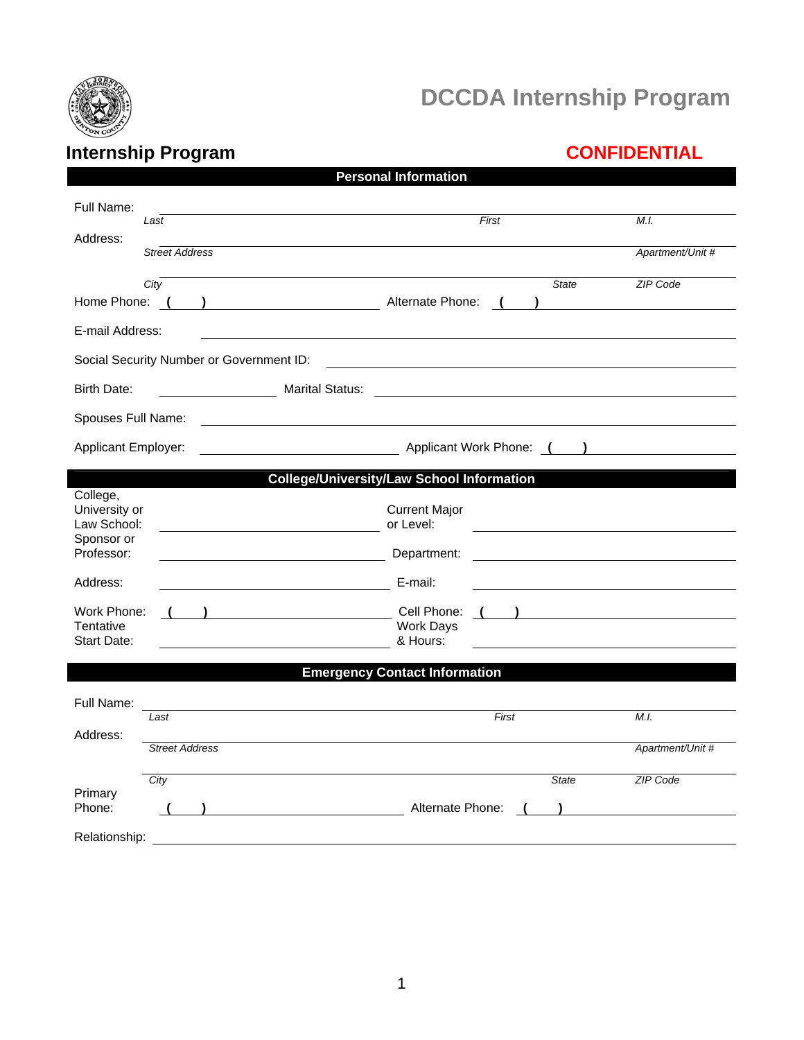

# **DCCDA Internship Program**

# **Internship Program CONFIDENTIAL**

| <b>Personal Information</b>                            |                                                                                                                       |                  |  |  |  |  |  |  |
|--------------------------------------------------------|-----------------------------------------------------------------------------------------------------------------------|------------------|--|--|--|--|--|--|
| Full Name:<br>Last                                     | First                                                                                                                 | M.I.             |  |  |  |  |  |  |
| Address:<br><b>Street Address</b>                      |                                                                                                                       | Apartment/Unit # |  |  |  |  |  |  |
| City<br>Alternate Phone:<br>Home Phone: (              | <b>State</b>                                                                                                          | <b>ZIP Code</b>  |  |  |  |  |  |  |
| E-mail Address:                                        |                                                                                                                       |                  |  |  |  |  |  |  |
| Social Security Number or Government ID:               |                                                                                                                       |                  |  |  |  |  |  |  |
| <b>Birth Date:</b><br><b>Marital Status:</b>           | <u> 1989 - Johann Harry Harry Harry Harry Harry Harry Harry Harry Harry Harry Harry Harry Harry Harry Harry Harry</u> |                  |  |  |  |  |  |  |
| Spouses Full Name:                                     |                                                                                                                       |                  |  |  |  |  |  |  |
| <b>Applicant Employer:</b>                             | Applicant Work Phone: ()                                                                                              |                  |  |  |  |  |  |  |
| <b>College/University/Law School Information</b>       |                                                                                                                       |                  |  |  |  |  |  |  |
| College,<br>University or<br>Law School:<br>Sponsor or | <b>Current Major</b><br>or Level:                                                                                     |                  |  |  |  |  |  |  |
| Professor:                                             | Department:                                                                                                           |                  |  |  |  |  |  |  |
| Address:                                               | E-mail:                                                                                                               |                  |  |  |  |  |  |  |
| Work Phone:                                            | Cell Phone:                                                                                                           |                  |  |  |  |  |  |  |
| Tentative<br><b>Start Date:</b>                        | <b>Work Days</b><br>& Hours:                                                                                          |                  |  |  |  |  |  |  |
| <b>Emergency Contact Information</b>                   |                                                                                                                       |                  |  |  |  |  |  |  |
| Full Name:                                             |                                                                                                                       |                  |  |  |  |  |  |  |
| Last<br>Address:                                       | First                                                                                                                 | M.I.             |  |  |  |  |  |  |
| <b>Street Address</b>                                  |                                                                                                                       | Apartment/Unit # |  |  |  |  |  |  |
| City                                                   | <b>State</b>                                                                                                          | ZIP Code         |  |  |  |  |  |  |
| Primary<br>Phone:                                      | Alternate Phone:                                                                                                      |                  |  |  |  |  |  |  |
| Relationship:                                          |                                                                                                                       |                  |  |  |  |  |  |  |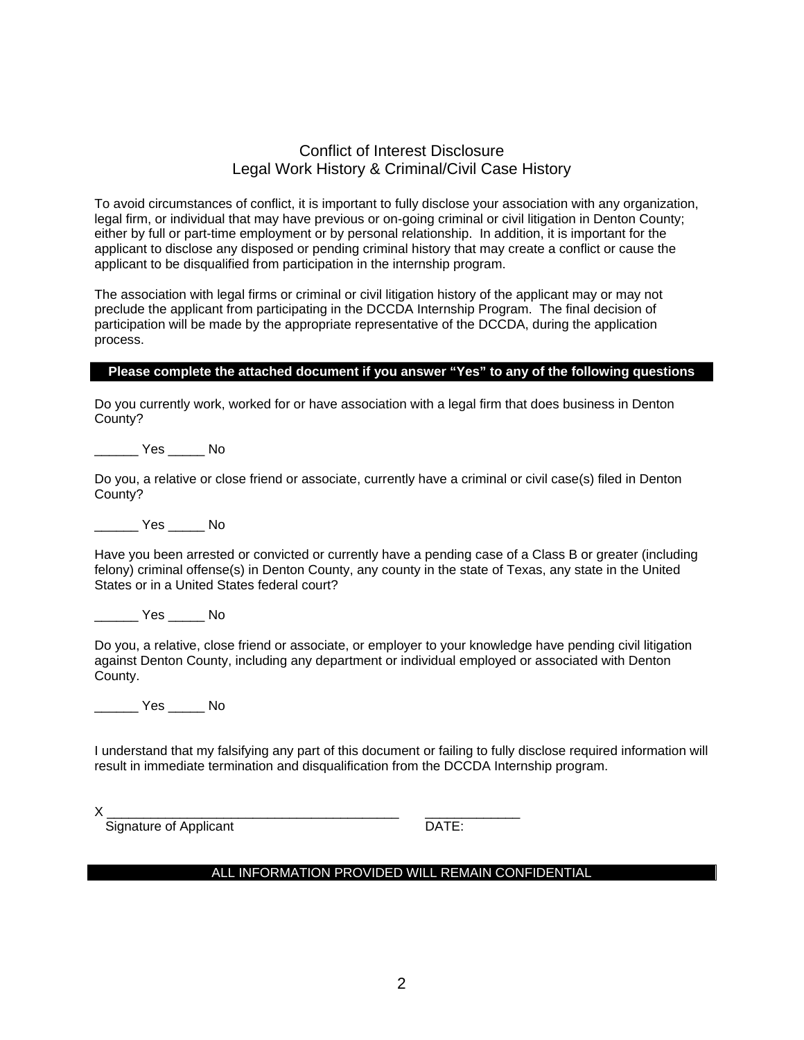### Conflict of Interest Disclosure Legal Work History & Criminal/Civil Case History

To avoid circumstances of conflict, it is important to fully disclose your association with any organization, legal firm, or individual that may have previous or on-going criminal or civil litigation in Denton County; either by full or part-time employment or by personal relationship. In addition, it is important for the applicant to disclose any disposed or pending criminal history that may create a conflict or cause the applicant to be disqualified from participation in the internship program.

The association with legal firms or criminal or civil litigation history of the applicant may or may not preclude the applicant from participating in the DCCDA Internship Program. The final decision of participation will be made by the appropriate representative of the DCCDA, during the application process.

#### **Please complete the attached document if you answer "Yes" to any of the following questions**

Do you currently work, worked for or have association with a legal firm that does business in Denton County?

\_\_\_\_\_\_ Yes \_\_\_\_\_ No

Do you, a relative or close friend or associate, currently have a criminal or civil case(s) filed in Denton County?

\_\_\_\_\_\_ Yes \_\_\_\_\_ No

Have you been arrested or convicted or currently have a pending case of a Class B or greater (including felony) criminal offense(s) in Denton County, any county in the state of Texas, any state in the United States or in a United States federal court?

\_\_\_\_\_\_ Yes \_\_\_\_\_ No

Do you, a relative, close friend or associate, or employer to your knowledge have pending civil litigation against Denton County, including any department or individual employed or associated with Denton County.

\_\_\_\_\_\_ Yes \_\_\_\_\_ No

I understand that my falsifying any part of this document or failing to fully disclose required information will result in immediate termination and disqualification from the DCCDA Internship program.

X \_\_\_\_\_\_\_\_\_\_\_\_\_\_\_\_\_\_\_\_\_\_\_\_\_\_\_\_\_\_\_\_\_\_\_\_\_\_\_\_ \_\_\_\_\_\_\_\_\_\_\_\_\_

Signature of Applicant DATE:

#### ALL INFORMATION PROVIDED WILL REMAIN CONFIDENTIAL